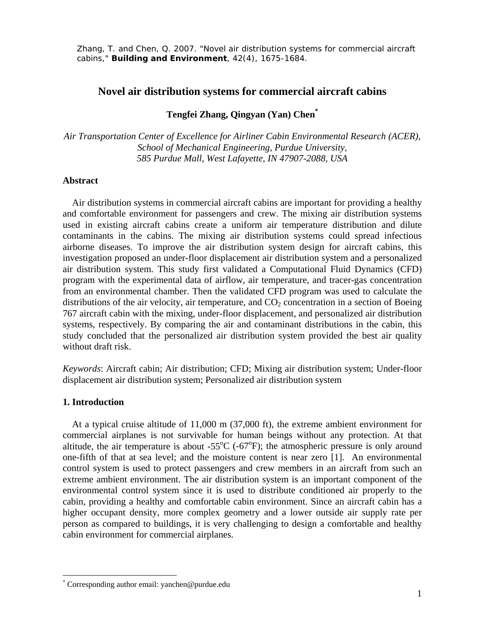Zhang, T. and Chen, Q. 2007. "Novel air distribution systems for commercial aircraft cabins," **Building and Environment**, 42(4), 1675-1684.

# **Novel air distribution systems for commercial aircraft cabins**

## **Tengfei Zhang, Qingyan (Yan) Chen\***

*Air Transportation Center of Excellence for Airliner Cabin Environmental Research (ACER), School of Mechanical Engineering, Purdue University, 585 Purdue Mall, West Lafayette, IN 47907-2088, USA* 

## **Abstract**

 Air distribution systems in commercial aircraft cabins are important for providing a healthy and comfortable environment for passengers and crew. The mixing air distribution systems used in existing aircraft cabins create a uniform air temperature distribution and dilute contaminants in the cabins. The mixing air distribution systems could spread infectious airborne diseases. To improve the air distribution system design for aircraft cabins, this investigation proposed an under-floor displacement air distribution system and a personalized air distribution system. This study first validated a Computational Fluid Dynamics (CFD) program with the experimental data of airflow, air temperature, and tracer-gas concentration from an environmental chamber. Then the validated CFD program was used to calculate the distributions of the air velocity, air temperature, and  $CO<sub>2</sub>$  concentration in a section of Boeing 767 aircraft cabin with the mixing, under-floor displacement, and personalized air distribution systems, respectively. By comparing the air and contaminant distributions in the cabin, this study concluded that the personalized air distribution system provided the best air quality without draft risk.

*Keywords*: Aircraft cabin; Air distribution; CFD; Mixing air distribution system; Under-floor displacement air distribution system; Personalized air distribution system

### **1. Introduction**

 $\overline{a}$ 

At a typical cruise altitude of 11,000 m (37,000 ft), the extreme ambient environment for commercial airplanes is not survivable for human beings without any protection. At that altitude, the air temperature is about -55 $^{\circ}$ C (-67 $^{\circ}$ F); the atmospheric pressure is only around one-fifth of that at sea level; and the moisture content is near zero [1]. An environmental control system is used to protect passengers and crew members in an aircraft from such an extreme ambient environment. The air distribution system is an important component of the environmental control system since it is used to distribute conditioned air properly to the cabin, providing a healthy and comfortable cabin environment. Since an aircraft cabin has a higher occupant density, more complex geometry and a lower outside air supply rate per person as compared to buildings, it is very challenging to design a comfortable and healthy cabin environment for commercial airplanes.

<sup>\*</sup> Corresponding author email: yanchen@purdue.edu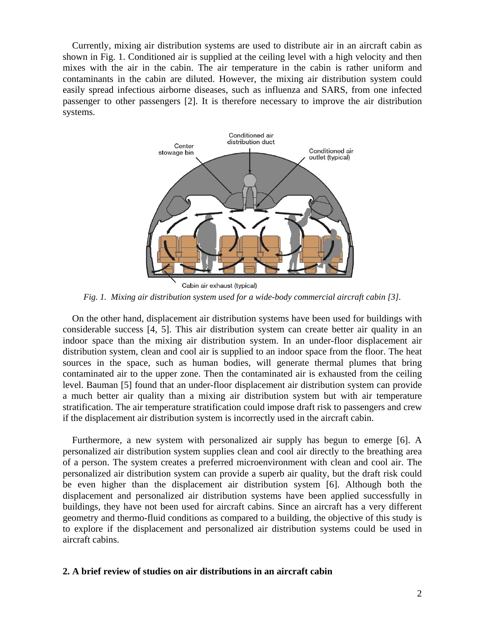Currently, mixing air distribution systems are used to distribute air in an aircraft cabin as shown in Fig. 1. Conditioned air is supplied at the ceiling level with a high velocity and then mixes with the air in the cabin. The air temperature in the cabin is rather uniform and contaminants in the cabin are diluted. However, the mixing air distribution system could easily spread infectious airborne diseases, such as influenza and SARS, from one infected passenger to other passengers [2]. It is therefore necessary to improve the air distribution systems.



*Fig. 1. Mixing air distribution system used for a wide-body commercial aircraft cabin [3].* 

On the other hand, displacement air distribution systems have been used for buildings with considerable success [4, 5]. This air distribution system can create better air quality in an indoor space than the mixing air distribution system. In an under-floor displacement air distribution system, clean and cool air is supplied to an indoor space from the floor. The heat sources in the space, such as human bodies, will generate thermal plumes that bring contaminated air to the upper zone. Then the contaminated air is exhausted from the ceiling level. Bauman [5] found that an under-floor displacement air distribution system can provide a much better air quality than a mixing air distribution system but with air temperature stratification. The air temperature stratification could impose draft risk to passengers and crew if the displacement air distribution system is incorrectly used in the aircraft cabin.

Furthermore, a new system with personalized air supply has begun to emerge [6]. A personalized air distribution system supplies clean and cool air directly to the breathing area of a person. The system creates a preferred microenvironment with clean and cool air. The personalized air distribution system can provide a superb air quality, but the draft risk could be even higher than the displacement air distribution system [6]. Although both the displacement and personalized air distribution systems have been applied successfully in buildings, they have not been used for aircraft cabins. Since an aircraft has a very different geometry and thermo-fluid conditions as compared to a building, the objective of this study is to explore if the displacement and personalized air distribution systems could be used in aircraft cabins.

## **2. A brief review of studies on air distributions in an aircraft cabin**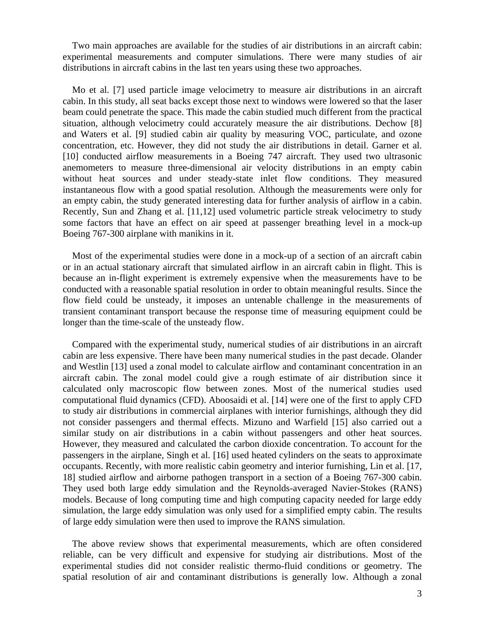Two main approaches are available for the studies of air distributions in an aircraft cabin: experimental measurements and computer simulations. There were many studies of air distributions in aircraft cabins in the last ten years using these two approaches.

Mo et al. [7] used particle image velocimetry to measure air distributions in an aircraft cabin. In this study, all seat backs except those next to windows were lowered so that the laser beam could penetrate the space. This made the cabin studied much different from the practical situation, although velocimetry could accurately measure the air distributions. Dechow [8] and Waters et al. [9] studied cabin air quality by measuring VOC, particulate, and ozone concentration, etc. However, they did not study the air distributions in detail. Garner et al. [10] conducted airflow measurements in a Boeing 747 aircraft. They used two ultrasonic anemometers to measure three-dimensional air velocity distributions in an empty cabin without heat sources and under steady-state inlet flow conditions. They measured instantaneous flow with a good spatial resolution. Although the measurements were only for an empty cabin, the study generated interesting data for further analysis of airflow in a cabin. Recently, Sun and Zhang et al. [11,12] used volumetric particle streak velocimetry to study some factors that have an effect on air speed at passenger breathing level in a mock-up Boeing 767-300 airplane with manikins in it.

Most of the experimental studies were done in a mock-up of a section of an aircraft cabin or in an actual stationary aircraft that simulated airflow in an aircraft cabin in flight. This is because an in-flight experiment is extremely expensive when the measurements have to be conducted with a reasonable spatial resolution in order to obtain meaningful results. Since the flow field could be unsteady, it imposes an untenable challenge in the measurements of transient contaminant transport because the response time of measuring equipment could be longer than the time-scale of the unsteady flow.

Compared with the experimental study, numerical studies of air distributions in an aircraft cabin are less expensive. There have been many numerical studies in the past decade. Olander and Westlin [13] used a zonal model to calculate airflow and contaminant concentration in an aircraft cabin. The zonal model could give a rough estimate of air distribution since it calculated only macroscopic flow between zones. Most of the numerical studies used computational fluid dynamics (CFD). Aboosaidi et al. [14] were one of the first to apply CFD to study air distributions in commercial airplanes with interior furnishings, although they did not consider passengers and thermal effects. Mizuno and Warfield [15] also carried out a similar study on air distributions in a cabin without passengers and other heat sources. However, they measured and calculated the carbon dioxide concentration. To account for the passengers in the airplane, Singh et al. [16] used heated cylinders on the seats to approximate occupants. Recently, with more realistic cabin geometry and interior furnishing, Lin et al. [17, 18] studied airflow and airborne pathogen transport in a section of a Boeing 767-300 cabin. They used both large eddy simulation and the Reynolds-averaged Navier-Stokes (RANS) models. Because of long computing time and high computing capacity needed for large eddy simulation, the large eddy simulation was only used for a simplified empty cabin. The results of large eddy simulation were then used to improve the RANS simulation.

The above review shows that experimental measurements, which are often considered reliable, can be very difficult and expensive for studying air distributions. Most of the experimental studies did not consider realistic thermo-fluid conditions or geometry. The spatial resolution of air and contaminant distributions is generally low. Although a zonal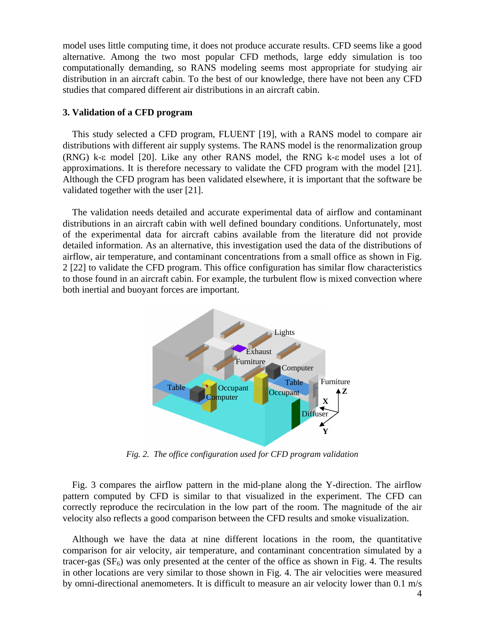model uses little computing time, it does not produce accurate results. CFD seems like a good alternative. Among the two most popular CFD methods, large eddy simulation is too computationally demanding, so RANS modeling seems most appropriate for studying air distribution in an aircraft cabin. To the best of our knowledge, there have not been any CFD studies that compared different air distributions in an aircraft cabin.

### **3. Validation of a CFD program**

This study selected a CFD program, FLUENT [19], with a RANS model to compare air distributions with different air supply systems. The RANS model is the renormalization group (RNG) k-ε model [20]. Like any other RANS model, the RNG k-ε model uses a lot of approximations. It is therefore necessary to validate the CFD program with the model [21]. Although the CFD program has been validated elsewhere, it is important that the software be validated together with the user [21].

The validation needs detailed and accurate experimental data of airflow and contaminant distributions in an aircraft cabin with well defined boundary conditions. Unfortunately, most of the experimental data for aircraft cabins available from the literature did not provide detailed information. As an alternative, this investigation used the data of the distributions of airflow, air temperature, and contaminant concentrations from a small office as shown in Fig. 2 [22] to validate the CFD program. This office configuration has similar flow characteristics to those found in an aircraft cabin. For example, the turbulent flow is mixed convection where both inertial and buoyant forces are important.



*Fig. 2. The office configuration used for CFD program validation* 

Fig. 3 compares the airflow pattern in the mid-plane along the Y-direction. The airflow pattern computed by CFD is similar to that visualized in the experiment. The CFD can correctly reproduce the recirculation in the low part of the room. The magnitude of the air velocity also reflects a good comparison between the CFD results and smoke visualization.

Although we have the data at nine different locations in the room, the quantitative comparison for air velocity, air temperature, and contaminant concentration simulated by a tracer-gas  $(SF_6)$  was only presented at the center of the office as shown in Fig. 4. The results in other locations are very similar to those shown in Fig. 4. The air velocities were measured by omni-directional anemometers. It is difficult to measure an air velocity lower than 0.1 m/s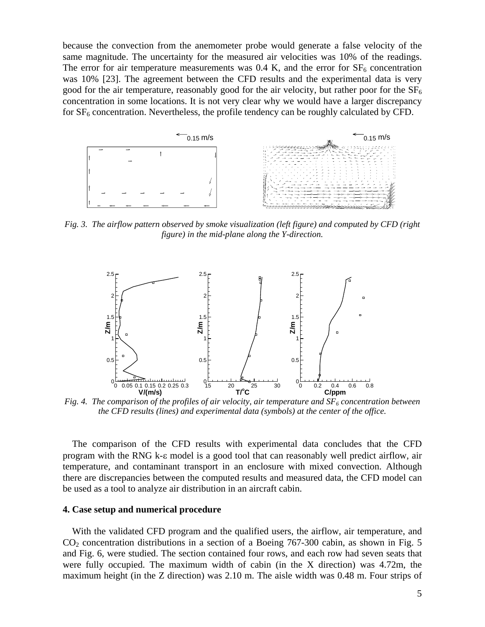because the convection from the anemometer probe would generate a false velocity of the same magnitude. The uncertainty for the measured air velocities was 10% of the readings. The error for air temperature measurements was 0.4 K, and the error for  $SF_6$  concentration was 10% [23]. The agreement between the CFD results and the experimental data is very good for the air temperature, reasonably good for the air velocity, but rather poor for the  $SF<sub>6</sub>$ concentration in some locations. It is not very clear why we would have a larger discrepancy for  $SF<sub>6</sub>$  concentration. Nevertheless, the profile tendency can be roughly calculated by CFD.



*Fig. 3. The airflow pattern observed by smoke visualization (left figure) and computed by CFD (right figure) in the mid-plane along the Y-direction.* 



*Fig. 4. The comparison of the profiles of air velocity, air temperature and*  $SF<sub>6</sub>$  *concentration between the CFD results (lines) and experimental data (symbols) at the center of the office.* 

The comparison of the CFD results with experimental data concludes that the CFD program with the RNG k-ε model is a good tool that can reasonably well predict airflow, air temperature, and contaminant transport in an enclosure with mixed convection. Although there are discrepancies between the computed results and measured data, the CFD model can be used as a tool to analyze air distribution in an aircraft cabin.

#### **4. Case setup and numerical procedure**

With the validated CFD program and the qualified users, the airflow, air temperature, and  $CO<sub>2</sub>$  concentration distributions in a section of a Boeing 767-300 cabin, as shown in Fig. 5 and Fig. 6, were studied. The section contained four rows, and each row had seven seats that were fully occupied. The maximum width of cabin (in the X direction) was 4.72m, the maximum height (in the Z direction) was 2.10 m. The aisle width was 0.48 m. Four strips of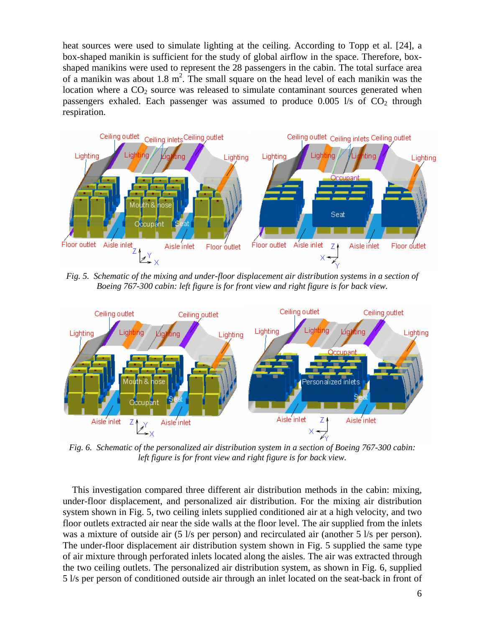heat sources were used to simulate lighting at the ceiling. According to Topp et al. [24], a box-shaped manikin is sufficient for the study of global airflow in the space. Therefore, boxshaped manikins were used to represent the 28 passengers in the cabin. The total surface area of a manikin was about  $1.8 \text{ m}^2$ . The small square on the head level of each manikin was the location where a  $CO<sub>2</sub>$  source was released to simulate contaminant sources generated when passengers exhaled. Each passenger was assumed to produce  $0.005$  l/s of  $CO<sub>2</sub>$  through respiration.



*Fig. 5. Schematic of the mixing and under-floor displacement air distribution systems in a section of Boeing 767-300 cabin: left figure is for front view and right figure is for back view.* 



*Fig. 6. Schematic of the personalized air distribution system in a section of Boeing 767-300 cabin: left figure is for front view and right figure is for back view.* 

This investigation compared three different air distribution methods in the cabin: mixing, under-floor displacement, and personalized air distribution. For the mixing air distribution system shown in Fig. 5, two ceiling inlets supplied conditioned air at a high velocity, and two floor outlets extracted air near the side walls at the floor level. The air supplied from the inlets was a mixture of outside air (5 l/s per person) and recirculated air (another 5 l/s per person). The under-floor displacement air distribution system shown in Fig. 5 supplied the same type of air mixture through perforated inlets located along the aisles. The air was extracted through the two ceiling outlets. The personalized air distribution system, as shown in Fig. 6, supplied 5 l/s per person of conditioned outside air through an inlet located on the seat-back in front of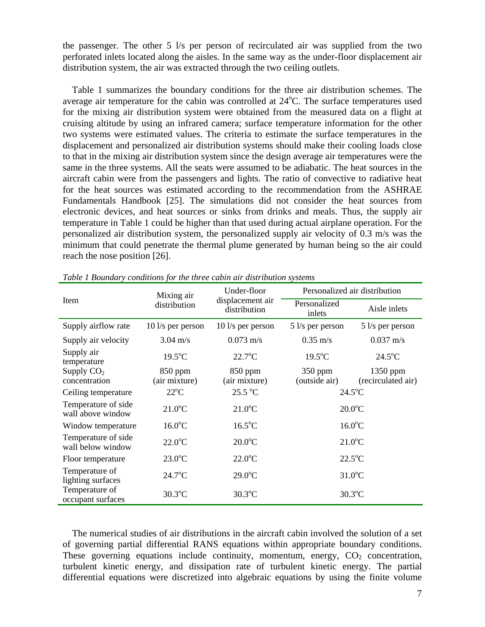the passenger. The other 5 l/s per person of recirculated air was supplied from the two perforated inlets located along the aisles. In the same way as the under-floor displacement air distribution system, the air was extracted through the two ceiling outlets.

Table 1 summarizes the boundary conditions for the three air distribution schemes. The average air temperature for the cabin was controlled at  $24^{\circ}$ C. The surface temperatures used for the mixing air distribution system were obtained from the measured data on a flight at cruising altitude by using an infrared camera; surface temperature information for the other two systems were estimated values. The criteria to estimate the surface temperatures in the displacement and personalized air distribution systems should make their cooling loads close to that in the mixing air distribution system since the design average air temperatures were the same in the three systems. All the seats were assumed to be adiabatic. The heat sources in the aircraft cabin were from the passengers and lights. The ratio of convective to radiative heat for the heat sources was estimated according to the recommendation from the ASHRAE Fundamentals Handbook [25]. The simulations did not consider the heat sources from electronic devices, and heat sources or sinks from drinks and meals. Thus, the supply air temperature in Table 1 could be higher than that used during actual airplane operation. For the personalized air distribution system, the personalized supply air velocity of 0.3 m/s was the minimum that could penetrate the thermal plume generated by human being so the air could reach the nose position [26].

| Item                                     | Mixing air<br>distribution | Under-floor<br>displacement air<br>distribution | Personalized air distribution |                                  |
|------------------------------------------|----------------------------|-------------------------------------------------|-------------------------------|----------------------------------|
|                                          |                            |                                                 | Personalized<br>inlets        | Aisle inlets                     |
| Supply airflow rate                      | $10$ l/s per person        | 10 l/s per person                               | $5$ l/s per person            | $5$ l/s per person               |
| Supply air velocity                      | $3.04 \text{ m/s}$         | $0.073 \text{ m/s}$                             | $0.35 \text{ m/s}$            | $0.037 \text{ m/s}$              |
| Supply air<br>temperature                | $19.5^{\circ}$ C           | $22.7^{\circ}$ C                                | $19.5^{\circ}$ C              | $24.5^{\circ}$ C                 |
| Supply $CO2$<br>concentration            | 850 ppm<br>(air mixture)   | 850 ppm<br>(air mixture)                        | $350$ ppm<br>(outside air)    | $1350$ ppm<br>(recirculated air) |
| Ceiling temperature                      | $22^{\circ}C$              | $25.5\text{ °C}$                                | $24.5^{\circ}$ C              |                                  |
| Temperature of side<br>wall above window | $21.0^{\circ}$ C           | $21.0^{\circ}$ C                                | $20.0$ °C                     |                                  |
| Window temperature                       | $16.0$ °C                  | $16.5^{\circ}$ C                                | $16.0$ °C                     |                                  |
| Temperature of side<br>wall below window | $22.0$ °C                  | $20.0$ °C                                       | $21.0^{\circ}$ C              |                                  |
| Floor temperature                        | $23.0^{\circ}$ C           | $22.0^{\circ}$ C                                | $22.5^{\circ}$ C              |                                  |
| Temperature of<br>lighting surfaces      | $24.7^{\circ}$ C           | $29.0$ °C                                       | $31.0$ <sup>o</sup> C         |                                  |
| Temperature of<br>occupant surfaces      | $30.3^{\circ}$ C           | $30.3^{\circ}$ C                                | $30.3^{\circ}$ C              |                                  |

*Table 1 Boundary conditions for the three cabin air distribution systems* 

The numerical studies of air distributions in the aircraft cabin involved the solution of a set of governing partial differential RANS equations within appropriate boundary conditions. These governing equations include continuity, momentum, energy,  $CO<sub>2</sub>$  concentration, turbulent kinetic energy, and dissipation rate of turbulent kinetic energy. The partial differential equations were discretized into algebraic equations by using the finite volume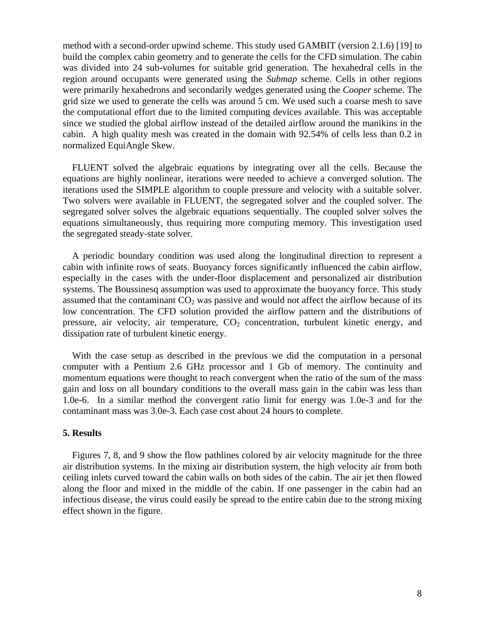method with a second-order upwind scheme. This study used GAMBIT (version 2.1.6) [19] to build the complex cabin geometry and to generate the cells for the CFD simulation. The cabin was divided into 24 sub-volumes for suitable grid generation. The hexahedral cells in the region around occupants were generated using the *Submap* scheme. Cells in other regions were primarily hexahedrons and secondarily wedges generated using the *Cooper* scheme. The grid size we used to generate the cells was around 5 cm. We used such a coarse mesh to save the computational effort due to the limited computing devices available. This was acceptable since we studied the global airflow instead of the detailed airflow around the manikins in the cabin. A high quality mesh was created in the domain with 92.54% of cells less than 0.2 in normalized EquiAngle Skew.

FLUENT solved the algebraic equations by integrating over all the cells. Because the equations are highly nonlinear, iterations were needed to achieve a converged solution. The iterations used the SIMPLE algorithm to couple pressure and velocity with a suitable solver. Two solvers were available in FLUENT, the segregated solver and the coupled solver. The segregated solver solves the algebraic equations sequentially. The coupled solver solves the equations simultaneously, thus requiring more computing memory. This investigation used the segregated steady-state solver.

A periodic boundary condition was used along the longitudinal direction to represent a cabin with infinite rows of seats. Buoyancy forces significantly influenced the cabin airflow, especially in the cases with the under-floor displacement and personalized air distribution systems. The Boussinesq assumption was used to approximate the buoyancy force. This study assumed that the contaminant  $CO<sub>2</sub>$  was passive and would not affect the airflow because of its low concentration. The CFD solution provided the airflow pattern and the distributions of pressure, air velocity, air temperature,  $CO<sub>2</sub>$  concentration, turbulent kinetic energy, and dissipation rate of turbulent kinetic energy.

With the case setup as described in the previous we did the computation in a personal computer with a Pentium 2.6 GHz processor and 1 Gb of memory. The continuity and momentum equations were thought to reach convergent when the ratio of the sum of the mass gain and loss on all boundary conditions to the overall mass gain in the cabin was less than 1.0e-6. In a similar method the convergent ratio limit for energy was 1.0e-3 and for the contaminant mass was 3.0e-3. Each case cost about 24 hours to complete.

## **5. Results**

Figures 7, 8, and 9 show the flow pathlines colored by air velocity magnitude for the three air distribution systems. In the mixing air distribution system, the high velocity air from both ceiling inlets curved toward the cabin walls on both sides of the cabin. The air jet then flowed along the floor and mixed in the middle of the cabin. If one passenger in the cabin had an infectious disease, the virus could easily be spread to the entire cabin due to the strong mixing effect shown in the figure.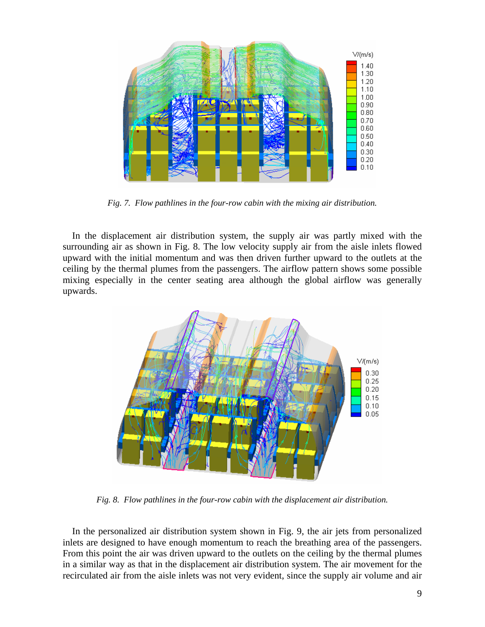

*Fig. 7. Flow pathlines in the four-row cabin with the mixing air distribution.* 

In the displacement air distribution system, the supply air was partly mixed with the surrounding air as shown in Fig. 8. The low velocity supply air from the aisle inlets flowed upward with the initial momentum and was then driven further upward to the outlets at the ceiling by the thermal plumes from the passengers. The airflow pattern shows some possible mixing especially in the center seating area although the global airflow was generally upwards.



*Fig. 8. Flow pathlines in the four-row cabin with the displacement air distribution.* 

In the personalized air distribution system shown in Fig. 9, the air jets from personalized inlets are designed to have enough momentum to reach the breathing area of the passengers. From this point the air was driven upward to the outlets on the ceiling by the thermal plumes in a similar way as that in the displacement air distribution system. The air movement for the recirculated air from the aisle inlets was not very evident, since the supply air volume and air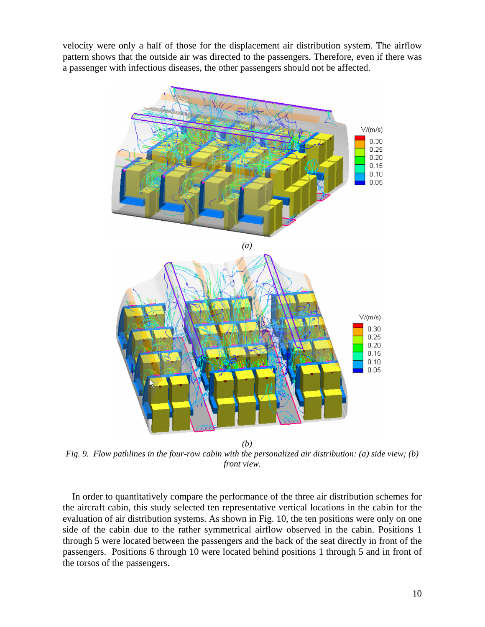velocity were only a half of those for the displacement air distribution system. The airflow pattern shows that the outside air was directed to the passengers. Therefore, even if there was a passenger with infectious diseases, the other passengers should not be affected.



*Fig. 9. Flow pathlines in the four-row cabin with the personalized air distribution: (a) side view; (b) front view.* 

In order to quantitatively compare the performance of the three air distribution schemes for the aircraft cabin, this study selected ten representative vertical locations in the cabin for the evaluation of air distribution systems. As shown in Fig. 10, the ten positions were only on one side of the cabin due to the rather symmetrical airflow observed in the cabin. Positions 1 through 5 were located between the passengers and the back of the seat directly in front of the passengers. Positions 6 through 10 were located behind positions 1 through 5 and in front of the torsos of the passengers.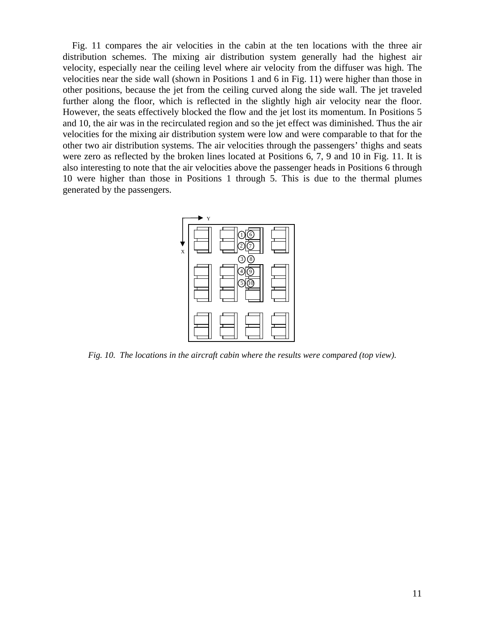Fig. 11 compares the air velocities in the cabin at the ten locations with the three air distribution schemes. The mixing air distribution system generally had the highest air velocity, especially near the ceiling level where air velocity from the diffuser was high. The velocities near the side wall (shown in Positions 1 and 6 in Fig. 11) were higher than those in other positions, because the jet from the ceiling curved along the side wall. The jet traveled further along the floor, which is reflected in the slightly high air velocity near the floor. However, the seats effectively blocked the flow and the jet lost its momentum. In Positions 5 and 10, the air was in the recirculated region and so the jet effect was diminished. Thus the air velocities for the mixing air distribution system were low and were comparable to that for the other two air distribution systems. The air velocities through the passengers' thighs and seats were zero as reflected by the broken lines located at Positions 6, 7, 9 and 10 in Fig. 11. It is also interesting to note that the air velocities above the passenger heads in Positions 6 through 10 were higher than those in Positions 1 through 5. This is due to the thermal plumes generated by the passengers.



*Fig. 10. The locations in the aircraft cabin where the results were compared (top view).*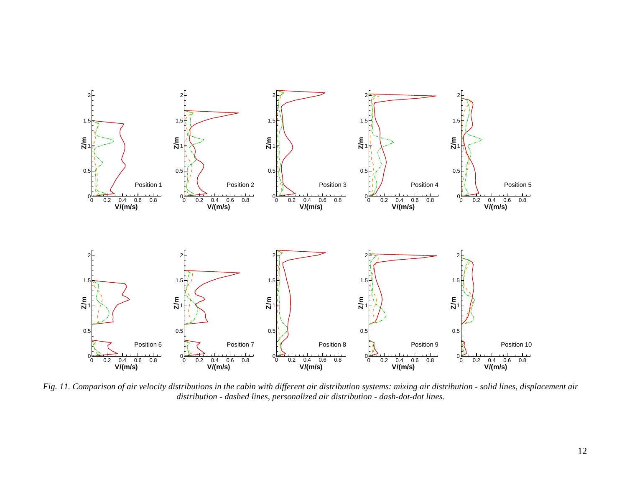

*Fig. 11. Comparison of air velocity distributions in the cabin with different air distribution systems: mixing air distribution - solid lines, displacement air distribution - dashed lines, personalized air distribution - dash-dot-dot lines.*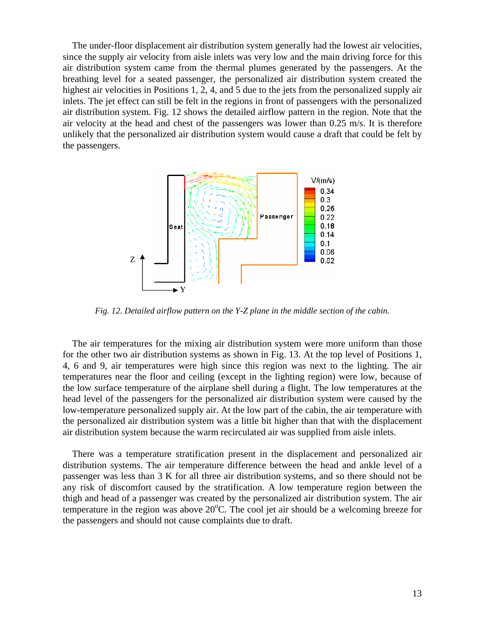The under-floor displacement air distribution system generally had the lowest air velocities, since the supply air velocity from aisle inlets was very low and the main driving force for this air distribution system came from the thermal plumes generated by the passengers. At the breathing level for a seated passenger, the personalized air distribution system created the highest air velocities in Positions 1, 2, 4, and 5 due to the jets from the personalized supply air inlets. The jet effect can still be felt in the regions in front of passengers with the personalized air distribution system. Fig. 12 shows the detailed airflow pattern in the region. Note that the air velocity at the head and chest of the passengers was lower than 0.25 m/s. It is therefore unlikely that the personalized air distribution system would cause a draft that could be felt by the passengers.



*Fig. 12. Detailed airflow pattern on the Y-Z plane in the middle section of the cabin.* 

The air temperatures for the mixing air distribution system were more uniform than those for the other two air distribution systems as shown in Fig. 13. At the top level of Positions 1, 4, 6 and 9, air temperatures were high since this region was next to the lighting. The air temperatures near the floor and ceiling (except in the lighting region) were low, because of the low surface temperature of the airplane shell during a flight. The low temperatures at the head level of the passengers for the personalized air distribution system were caused by the low-temperature personalized supply air. At the low part of the cabin, the air temperature with the personalized air distribution system was a little bit higher than that with the displacement air distribution system because the warm recirculated air was supplied from aisle inlets.

There was a temperature stratification present in the displacement and personalized air distribution systems. The air temperature difference between the head and ankle level of a passenger was less than 3 K for all three air distribution systems, and so there should not be any risk of discomfort caused by the stratification. A low temperature region between the thigh and head of a passenger was created by the personalized air distribution system. The air temperature in the region was above  $20^{\circ}$ C. The cool jet air should be a welcoming breeze for the passengers and should not cause complaints due to draft.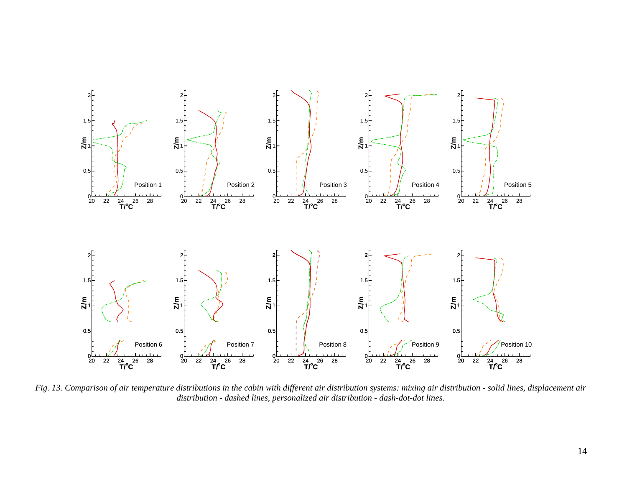

*Fig. 13. Comparison of air temperature distributions in the cabin with different air distribution systems: mixing air distribution - solid lines, displacement air distribution - dashed lines, personalized air distribution - dash-dot-dot lines.*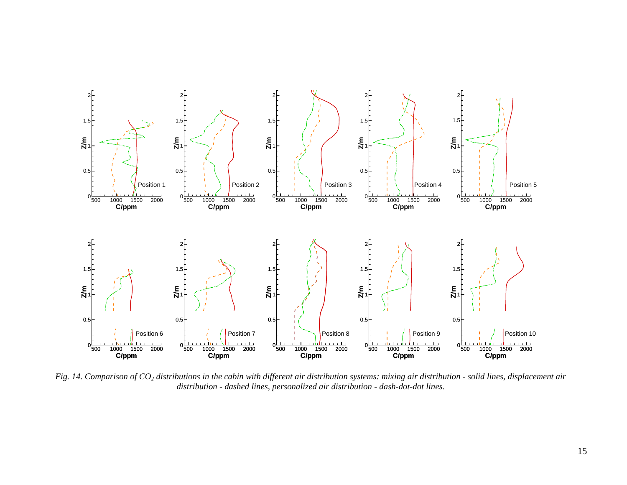

*Fig. 14. Comparison of CO2 distributions in the cabin with different air distribution systems: mixing air distribution - solid lines, displacement air distribution - dashed lines, personalized air distribution - dash-dot-dot lines.*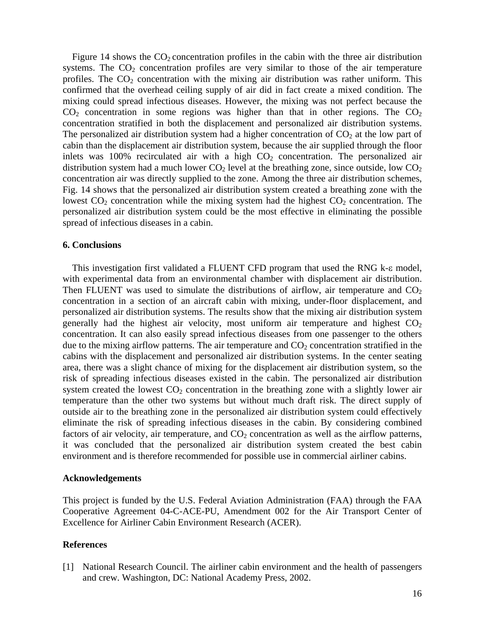Figure 14 shows the  $CO_2$  concentration profiles in the cabin with the three air distribution systems. The  $CO<sub>2</sub>$  concentration profiles are very similar to those of the air temperature profiles. The  $CO<sub>2</sub>$  concentration with the mixing air distribution was rather uniform. This confirmed that the overhead ceiling supply of air did in fact create a mixed condition. The mixing could spread infectious diseases. However, the mixing was not perfect because the  $CO<sub>2</sub>$  concentration in some regions was higher than that in other regions. The  $CO<sub>2</sub>$ concentration stratified in both the displacement and personalized air distribution systems. The personalized air distribution system had a higher concentration of  $CO<sub>2</sub>$  at the low part of cabin than the displacement air distribution system, because the air supplied through the floor inlets was 100% recirculated air with a high  $CO<sub>2</sub>$  concentration. The personalized air distribution system had a much lower  $CO<sub>2</sub>$  level at the breathing zone, since outside, low  $CO<sub>2</sub>$ concentration air was directly supplied to the zone. Among the three air distribution schemes, Fig. 14 shows that the personalized air distribution system created a breathing zone with the lowest  $CO<sub>2</sub>$  concentration while the mixing system had the highest  $CO<sub>2</sub>$  concentration. The personalized air distribution system could be the most effective in eliminating the possible spread of infectious diseases in a cabin.

### **6. Conclusions**

This investigation first validated a FLUENT CFD program that used the RNG k-ε model, with experimental data from an environmental chamber with displacement air distribution. Then FLUENT was used to simulate the distributions of airflow, air temperature and  $CO<sub>2</sub>$ concentration in a section of an aircraft cabin with mixing, under-floor displacement, and personalized air distribution systems. The results show that the mixing air distribution system generally had the highest air velocity, most uniform air temperature and highest  $CO<sub>2</sub>$ concentration. It can also easily spread infectious diseases from one passenger to the others due to the mixing airflow patterns. The air temperature and  $CO<sub>2</sub>$  concentration stratified in the cabins with the displacement and personalized air distribution systems. In the center seating area, there was a slight chance of mixing for the displacement air distribution system, so the risk of spreading infectious diseases existed in the cabin. The personalized air distribution system created the lowest  $CO<sub>2</sub>$  concentration in the breathing zone with a slightly lower air temperature than the other two systems but without much draft risk. The direct supply of outside air to the breathing zone in the personalized air distribution system could effectively eliminate the risk of spreading infectious diseases in the cabin. By considering combined factors of air velocity, air temperature, and  $CO<sub>2</sub>$  concentration as well as the airflow patterns, it was concluded that the personalized air distribution system created the best cabin environment and is therefore recommended for possible use in commercial airliner cabins.

## **Acknowledgements**

This project is funded by the U.S. Federal Aviation Administration (FAA) through the FAA Cooperative Agreement 04-C-ACE-PU, Amendment 002 for the Air Transport Center of Excellence for Airliner Cabin Environment Research (ACER).

### **References**

[1] National Research Council. The airliner cabin environment and the health of passengers and crew. Washington, DC: National Academy Press, 2002.